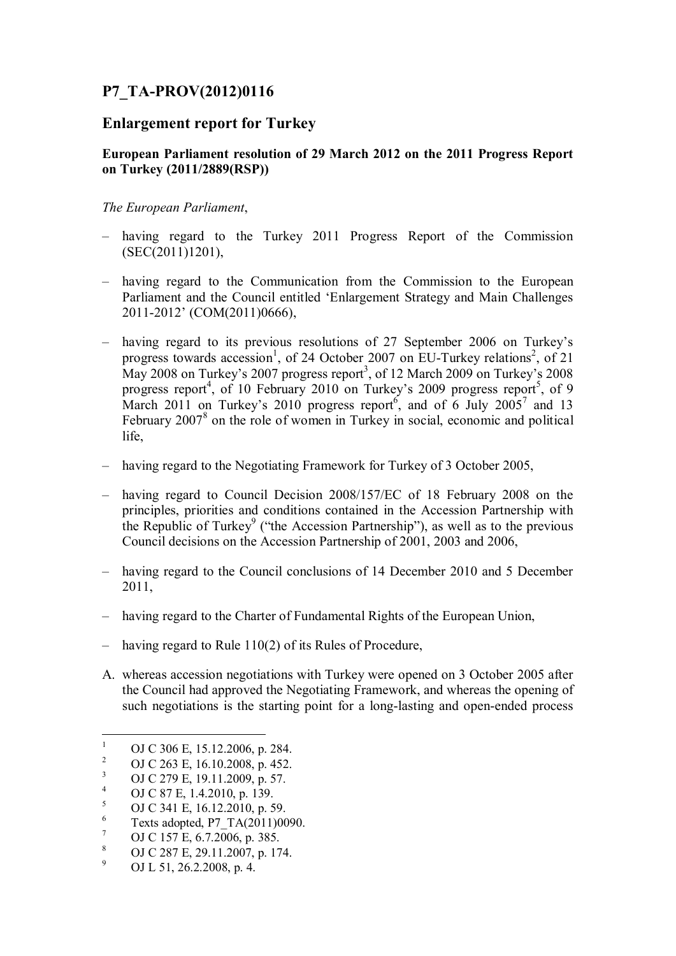# **P7\_TA-PROV(2012)0116**

# **Enlargement report for Turkey**

### **European Parliament resolution of 29 March 2012 on the 2011 Progress Report on Turkey (2011/2889(RSP))**

*The European Parliament*,

- having regard to the Turkey 2011 Progress Report of the Commission (SEC(2011)1201),
- having regard to the Communication from the Commission to the European Parliament and the Council entitled 'Enlargement Strategy and Main Challenges 2011-2012' (COM(2011)0666),
- having regard to its previous resolutions of 27 September 2006 on Turkey's progress towards accession<sup>1</sup>[,](#page-0-1) of 24 October 2007 on EU-Turkey relations<sup>2</sup>, of 21 May 2008 on Turkey's 2007 progress report<sup>3</sup>[, o](#page-0-2)f 12 March 2009 on Turkey's 2008 progress report<sup>4</sup>[,](#page-0-3) of 10 February 2010 on Turkey's 2009 progress report<sup>5</sup>[,](#page-0-4) of 9 March2011 on Turkey's 2010 progress report and of 6 July 2005<sup>7</sup> and 13 February 2007<sup>8</sup> [o](#page-0-7)n the role of women in Turkey in social, economic and political life,
- having regard to the Negotiating Framework for Turkey of 3 October 2005,
- having regard to Council Decision 2008/157/EC of 18 February 2008 on the principles, priorities and conditions contained in the Accession Partnership with the Republic of Turkey<sup>9</sup> [\(](#page-0-8)"the Accession Partnership"), as well as to the previous Council decisions on the Accession Partnership of 2001, 2003 and 2006,
- having regard to the Council conclusions of 14 December 2010 and 5 December 2011,
- having regard to the Charter of Fundamental Rights of the European Union,
- having regard to Rule 110(2) of its Rules of Procedure,
- A. whereas accession negotiations with Turkey were opened on 3 October 2005 after the Council had approved the Negotiating Framework, and whereas the opening of such negotiations is the starting point for a long-lasting and open-ended process

- <span id="page-0-5"></span>6 Texts adopted, P7\_TA(2011)0090.
- <span id="page-0-6"></span>7 OJ C 157 E, 6.7.2006, p. 385.
- <span id="page-0-7"></span>8 OJ C 287 E, 29.11.2007, p. 174.
- <span id="page-0-8"></span>9 OJ L 51, 26.2.2008, p. 4.

<span id="page-0-0"></span><sup>1</sup> OJ C 306 E, 15.12.2006, p. 284.

<span id="page-0-1"></span><sup>2</sup> OJ C 263 E, 16.10.2008, p. 452.

<span id="page-0-2"></span><sup>3</sup> OJ C 279 E, 19.11.2009, p. 57.

<span id="page-0-3"></span><sup>4</sup> OJ C 87 E, 1.4.2010, p. 139.

<span id="page-0-4"></span><sup>5</sup> OJ C 341 E, 16.12.2010, p. 59.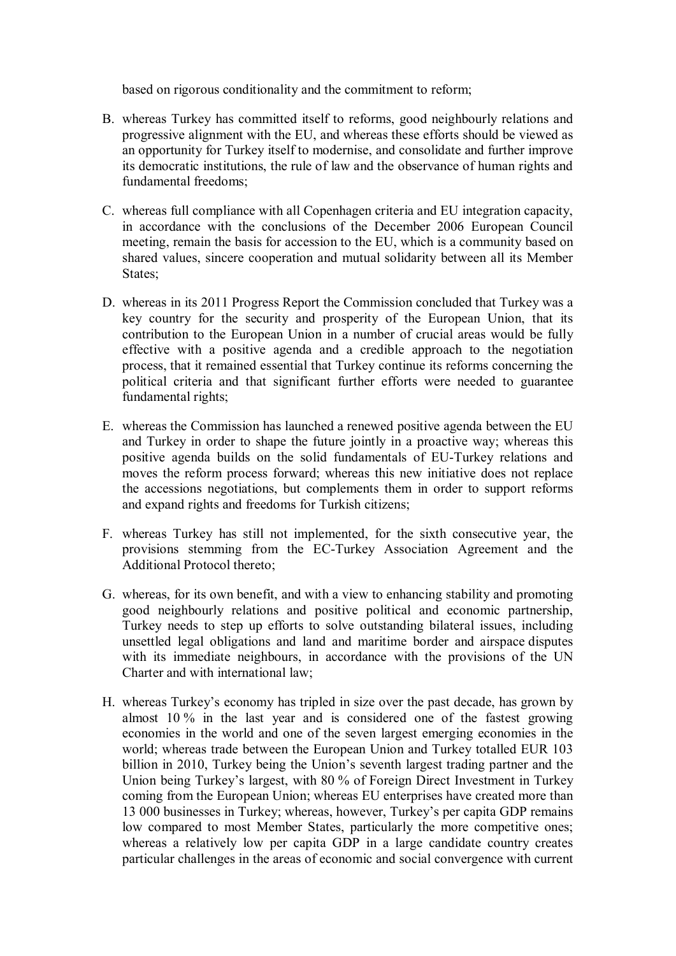based on rigorous conditionality and the commitment to reform;

- B. whereas Turkey has committed itself to reforms, good neighbourly relations and progressive alignment with the EU, and whereas these efforts should be viewed as an opportunity for Turkey itself to modernise, and consolidate and further improve its democratic institutions, the rule of law and the observance of human rights and fundamental freedoms;
- C. whereas full compliance with all Copenhagen criteria and EU integration capacity, in accordance with the conclusions of the December 2006 European Council meeting, remain the basis for accession to the EU, which is a community based on shared values, sincere cooperation and mutual solidarity between all its Member States;
- D. whereas in its 2011 Progress Report the Commission concluded that Turkey was a key country for the security and prosperity of the European Union, that its contribution to the European Union in a number of crucial areas would be fully effective with a positive agenda and a credible approach to the negotiation process, that it remained essential that Turkey continue its reforms concerning the political criteria and that significant further efforts were needed to guarantee fundamental rights;
- E. whereas the Commission has launched a renewed positive agenda between the EU and Turkey in order to shape the future jointly in a proactive way; whereas this positive agenda builds on the solid fundamentals of EU-Turkey relations and moves the reform process forward; whereas this new initiative does not replace the accessions negotiations, but complements them in order to support reforms and expand rights and freedoms for Turkish citizens;
- F. whereas Turkey has still not implemented, for the sixth consecutive year, the provisions stemming from the EC-Turkey Association Agreement and the Additional Protocol thereto;
- G. whereas, for its own benefit, and with a view to enhancing stability and promoting good neighbourly relations and positive political and economic partnership, Turkey needs to step up efforts to solve outstanding bilateral issues, including unsettled legal obligations and land and maritime border and airspace disputes with its immediate neighbours, in accordance with the provisions of the UN Charter and with international law;
- H. whereas Turkey's economy has tripled in size over the past decade, has grown by almost 10 % in the last year and is considered one of the fastest growing economies in the world and one of the seven largest emerging economies in the world; whereas trade between the European Union and Turkey totalled EUR 103 billion in 2010, Turkey being the Union's seventh largest trading partner and the Union being Turkey's largest, with 80 % of Foreign Direct Investment in Turkey coming from the European Union; whereas EU enterprises have created more than 13 000 businesses in Turkey; whereas, however, Turkey's per capita GDP remains low compared to most Member States, particularly the more competitive ones; whereas a relatively low per capita GDP in a large candidate country creates particular challenges in the areas of economic and social convergence with current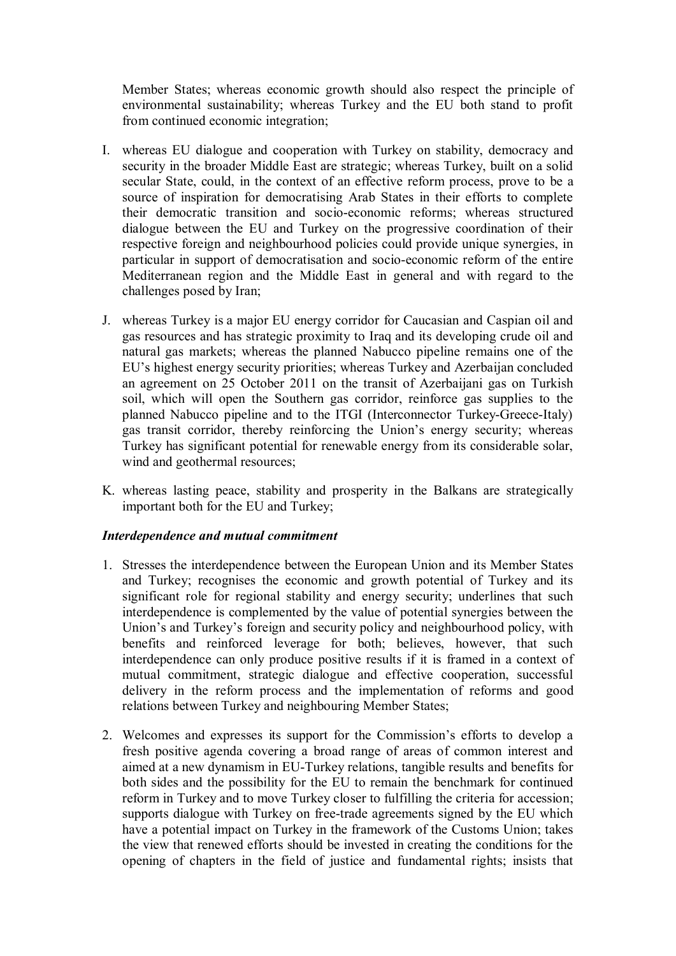Member States; whereas economic growth should also respect the principle of environmental sustainability; whereas Turkey and the EU both stand to profit from continued economic integration;

- I. whereas EU dialogue and cooperation with Turkey on stability, democracy and security in the broader Middle East are strategic; whereas Turkey, built on a solid secular State, could, in the context of an effective reform process, prove to be a source of inspiration for democratising Arab States in their efforts to complete their democratic transition and socio-economic reforms; whereas structured dialogue between the EU and Turkey on the progressive coordination of their respective foreign and neighbourhood policies could provide unique synergies, in particular in support of democratisation and socio-economic reform of the entire Mediterranean region and the Middle East in general and with regard to the challenges posed by Iran;
- J. whereas Turkey is a major EU energy corridor for Caucasian and Caspian oil and gas resources and has strategic proximity to Iraq and its developing crude oil and natural gas markets; whereas the planned Nabucco pipeline remains one of the EU's highest energy security priorities; whereas Turkey and Azerbaijan concluded an agreement on 25 October 2011 on the transit of Azerbaijani gas on Turkish soil, which will open the Southern gas corridor, reinforce gas supplies to the planned Nabucco pipeline and to the ITGI (Interconnector Turkey-Greece-Italy) gas transit corridor, thereby reinforcing the Union's energy security; whereas Turkey has significant potential for renewable energy from its considerable solar, wind and geothermal resources;
- K. whereas lasting peace, stability and prosperity in the Balkans are strategically important both for the EU and Turkey;

#### *Interdependence and mutual commitment*

- 1. Stresses the interdependence between the European Union and its Member States and Turkey; recognises the economic and growth potential of Turkey and its significant role for regional stability and energy security; underlines that such interdependence is complemented by the value of potential synergies between the Union's and Turkey's foreign and security policy and neighbourhood policy, with benefits and reinforced leverage for both; believes, however, that such interdependence can only produce positive results if it is framed in a context of mutual commitment, strategic dialogue and effective cooperation, successful delivery in the reform process and the implementation of reforms and good relations between Turkey and neighbouring Member States;
- 2. Welcomes and expresses its support for the Commission's efforts to develop a fresh positive agenda covering a broad range of areas of common interest and aimed at a new dynamism in EU-Turkey relations, tangible results and benefits for both sides and the possibility for the EU to remain the benchmark for continued reform in Turkey and to move Turkey closer to fulfilling the criteria for accession; supports dialogue with Turkey on free-trade agreements signed by the EU which have a potential impact on Turkey in the framework of the Customs Union; takes the view that renewed efforts should be invested in creating the conditions for the opening of chapters in the field of justice and fundamental rights; insists that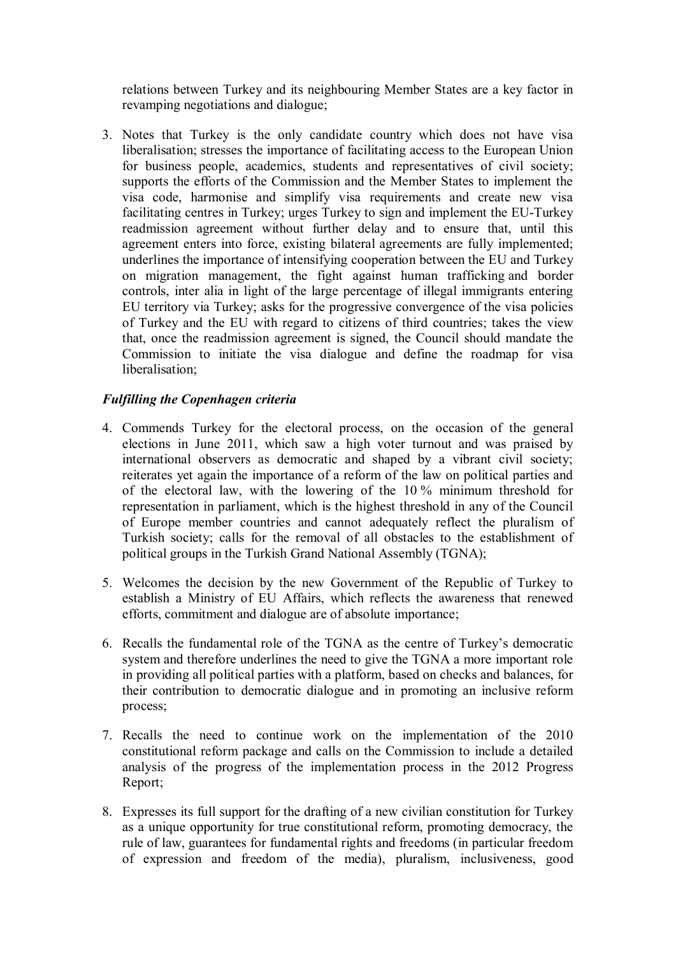relations between Turkey and its neighbouring Member States are a key factor in revamping negotiations and dialogue;

3. Notes that Turkey is the only candidate country which does not have visa liberalisation; stresses the importance of facilitating access to the European Union for business people, academics, students and representatives of civil society; supports the efforts of the Commission and the Member States to implement the visa code, harmonise and simplify visa requirements and create new visa facilitating centres in Turkey; urges Turkey to sign and implement the EU-Turkey readmission agreement without further delay and to ensure that, until this agreement enters into force, existing bilateral agreements are fully implemented; underlines the importance of intensifying cooperation between the EU and Turkey on migration management, the fight against human trafficking and border controls, inter alia in light of the large percentage of illegal immigrants entering EU territory via Turkey; asks for the progressive convergence of the visa policies of Turkey and the EU with regard to citizens of third countries; takes the view that, once the readmission agreement is signed, the Council should mandate the Commission to initiate the visa dialogue and define the roadmap for visa liberalisation;

## *Fulfilling the Copenhagen criteria*

- 4. Commends Turkey for the electoral process, on the occasion of the general elections in June 2011, which saw a high voter turnout and was praised by international observers as democratic and shaped by a vibrant civil society; reiterates yet again the importance of a reform of the law on political parties and of the electoral law, with the lowering of the 10 % minimum threshold for representation in parliament, which is the highest threshold in any of the Council of Europe member countries and cannot adequately reflect the pluralism of Turkish society; calls for the removal of all obstacles to the establishment of political groups in the Turkish Grand National Assembly (TGNA);
- 5. Welcomes the decision by the new Government of the Republic of Turkey to establish a Ministry of EU Affairs, which reflects the awareness that renewed efforts, commitment and dialogue are of absolute importance;
- 6. Recalls the fundamental role of the TGNA as the centre of Turkey's democratic system and therefore underlines the need to give the TGNA a more important role in providing all political parties with a platform, based on checks and balances, for their contribution to democratic dialogue and in promoting an inclusive reform process;
- 7. Recalls the need to continue work on the implementation of the 2010 constitutional reform package and calls on the Commission to include a detailed analysis of the progress of the implementation process in the 2012 Progress Report;
- 8. Expresses its full support for the drafting of a new civilian constitution for Turkey as a unique opportunity for true constitutional reform, promoting democracy, the rule of law, guarantees for fundamental rights and freedoms (in particular freedom of expression and freedom of the media), pluralism, inclusiveness, good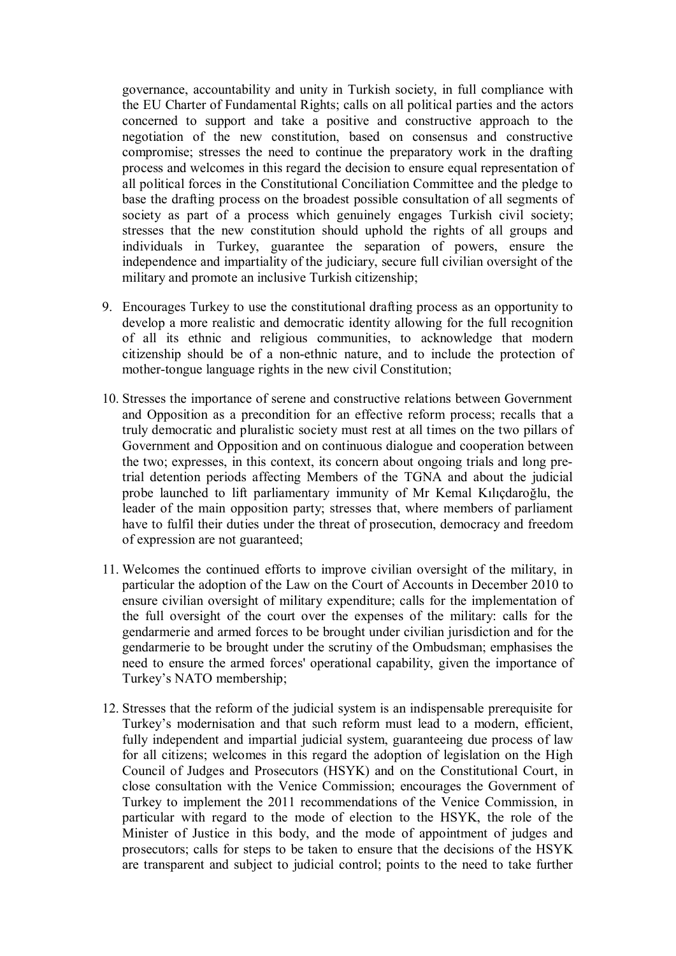governance, accountability and unity in Turkish society, in full compliance with the EU Charter of Fundamental Rights; calls on all political parties and the actors concerned to support and take a positive and constructive approach to the negotiation of the new constitution, based on consensus and constructive compromise; stresses the need to continue the preparatory work in the drafting process and welcomes in this regard the decision to ensure equal representation of all political forces in the Constitutional Conciliation Committee and the pledge to base the drafting process on the broadest possible consultation of all segments of society as part of a process which genuinely engages Turkish civil society; stresses that the new constitution should uphold the rights of all groups and individuals in Turkey, guarantee the separation of powers, ensure the independence and impartiality of the judiciary, secure full civilian oversight of the military and promote an inclusive Turkish citizenship;

- 9. Encourages Turkey to use the constitutional drafting process as an opportunity to develop a more realistic and democratic identity allowing for the full recognition of all its ethnic and religious communities, to acknowledge that modern citizenship should be of a non-ethnic nature, and to include the protection of mother-tongue language rights in the new civil Constitution;
- 10. Stresses the importance of serene and constructive relations between Government and Opposition as a precondition for an effective reform process; recalls that a truly democratic and pluralistic society must rest at all times on the two pillars of Government and Opposition and on continuous dialogue and cooperation between the two; expresses, in this context, its concern about ongoing trials and long pretrial detention periods affecting Members of the TGNA and about the judicial probe launched to lift parliamentary immunity of Mr Kemal Kılıçdaroğlu, the leader of the main opposition party; stresses that, where members of parliament have to fulfil their duties under the threat of prosecution, democracy and freedom of expression are not guaranteed;
- 11. Welcomes the continued efforts to improve civilian oversight of the military, in particular the adoption of the Law on the Court of Accounts in December 2010 to ensure civilian oversight of military expenditure; calls for the implementation of the full oversight of the court over the expenses of the military: calls for the gendarmerie and armed forces to be brought under civilian jurisdiction and for the gendarmerie to be brought under the scrutiny of the Ombudsman; emphasises the need to ensure the armed forces' operational capability, given the importance of Turkey's NATO membership;
- 12. Stresses that the reform of the judicial system is an indispensable prerequisite for Turkey's modernisation and that such reform must lead to a modern, efficient, fully independent and impartial judicial system, guaranteeing due process of law for all citizens; welcomes in this regard the adoption of legislation on the High Council of Judges and Prosecutors (HSYK) and on the Constitutional Court, in close consultation with the Venice Commission; encourages the Government of Turkey to implement the 2011 recommendations of the Venice Commission, in particular with regard to the mode of election to the HSYK, the role of the Minister of Justice in this body, and the mode of appointment of judges and prosecutors; calls for steps to be taken to ensure that the decisions of the HSYK are transparent and subject to judicial control; points to the need to take further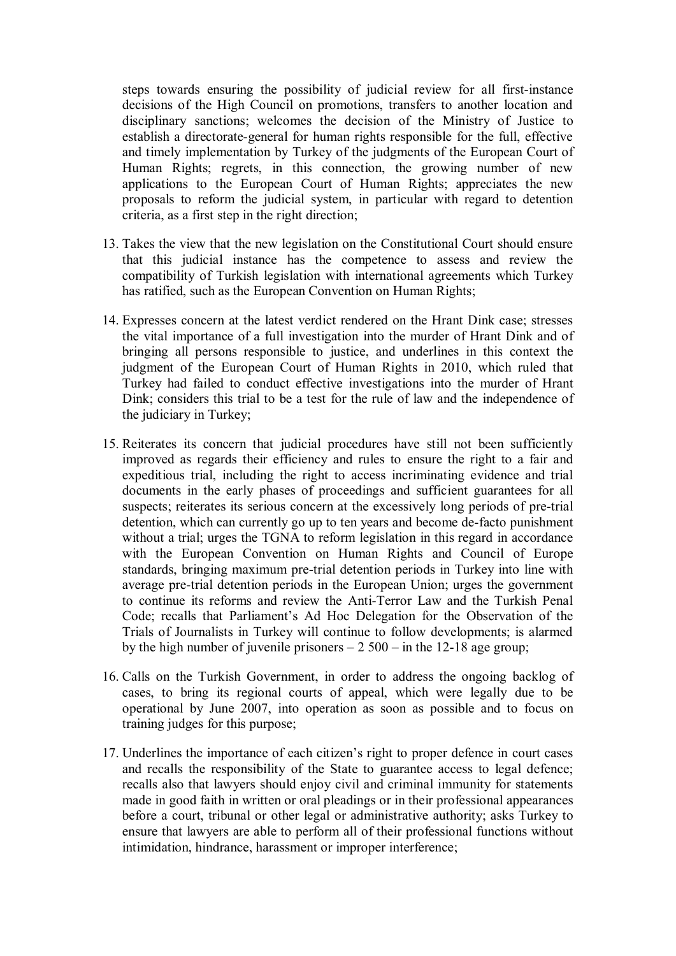steps towards ensuring the possibility of judicial review for all first-instance decisions of the High Council on promotions, transfers to another location and disciplinary sanctions; welcomes the decision of the Ministry of Justice to establish a directorate-general for human rights responsible for the full, effective and timely implementation by Turkey of the judgments of the European Court of Human Rights; regrets, in this connection, the growing number of new applications to the European Court of Human Rights; appreciates the new proposals to reform the judicial system, in particular with regard to detention criteria, as a first step in the right direction;

- 13. Takes the view that the new legislation on the Constitutional Court should ensure that this judicial instance has the competence to assess and review the compatibility of Turkish legislation with international agreements which Turkey has ratified, such as the European Convention on Human Rights;
- 14. Expresses concern at the latest verdict rendered on the Hrant Dink case; stresses the vital importance of a full investigation into the murder of Hrant Dink and of bringing all persons responsible to justice, and underlines in this context the judgment of the European Court of Human Rights in 2010, which ruled that Turkey had failed to conduct effective investigations into the murder of Hrant Dink; considers this trial to be a test for the rule of law and the independence of the judiciary in Turkey;
- 15. Reiterates its concern that judicial procedures have still not been sufficiently improved as regards their efficiency and rules to ensure the right to a fair and expeditious trial, including the right to access incriminating evidence and trial documents in the early phases of proceedings and sufficient guarantees for all suspects; reiterates its serious concern at the excessively long periods of pre-trial detention, which can currently go up to ten years and become de-facto punishment without a trial; urges the TGNA to reform legislation in this regard in accordance with the European Convention on Human Rights and Council of Europe standards, bringing maximum pre-trial detention periods in Turkey into line with average pre-trial detention periods in the European Union; urges the government to continue its reforms and review the Anti-Terror Law and the Turkish Penal Code; recalls that Parliament's Ad Hoc Delegation for the Observation of the Trials of Journalists in Turkey will continue to follow developments; is alarmed by the high number of juvenile prisoners  $-2500 -$  in the 12-18 age group;
- 16. Calls on the Turkish Government, in order to address the ongoing backlog of cases, to bring its regional courts of appeal, which were legally due to be operational by June 2007, into operation as soon as possible and to focus on training judges for this purpose;
- 17. Underlines the importance of each citizen's right to proper defence in court cases and recalls the responsibility of the State to guarantee access to legal defence; recalls also that lawyers should enjoy civil and criminal immunity for statements made in good faith in written or oral pleadings or in their professional appearances before a court, tribunal or other legal or administrative authority; asks Turkey to ensure that lawyers are able to perform all of their professional functions without intimidation, hindrance, harassment or improper interference;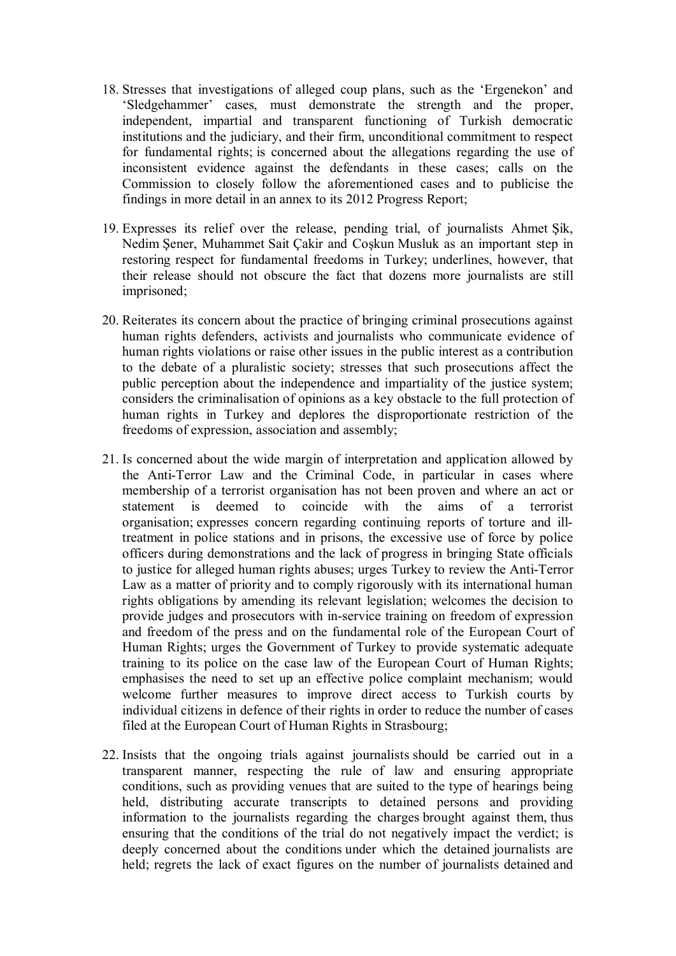- 18. Stresses that investigations of alleged coup plans, such as the 'Ergenekon' and 'Sledgehammer' cases, must demonstrate the strength and the proper, independent, impartial and transparent functioning of Turkish democratic institutions and the judiciary, and their firm, unconditional commitment to respect for fundamental rights; is concerned about the allegations regarding the use of inconsistent evidence against the defendants in these cases; calls on the Commission to closely follow the aforementioned cases and to publicise the findings in more detail in an annex to its 2012 Progress Report;
- 19. Expresses its relief over the release, pending trial, of journalists Ahmet Şik, Nedim Şener, Muhammet Sait Çakir and Coşkun Musluk as an important step in restoring respect for fundamental freedoms in Turkey; underlines, however, that their release should not obscure the fact that dozens more journalists are still imprisoned;
- 20. Reiterates its concern about the practice of bringing criminal prosecutions against human rights defenders, activists and journalists who communicate evidence of human rights violations or raise other issues in the public interest as a contribution to the debate of a pluralistic society; stresses that such prosecutions affect the public perception about the independence and impartiality of the justice system; considers the criminalisation of opinions as a key obstacle to the full protection of human rights in Turkey and deplores the disproportionate restriction of the freedoms of expression, association and assembly;
- 21. Is concerned about the wide margin of interpretation and application allowed by the Anti-Terror Law and the Criminal Code, in particular in cases where membership of a terrorist organisation has not been proven and where an act or statement is deemed to coincide with the aims of a terrorist organisation; expresses concern regarding continuing reports of torture and illtreatment in police stations and in prisons, the excessive use of force by police officers during demonstrations and the lack of progress in bringing State officials to justice for alleged human rights abuses; urges Turkey to review the Anti-Terror Law as a matter of priority and to comply rigorously with its international human rights obligations by amending its relevant legislation; welcomes the decision to provide judges and prosecutors with in-service training on freedom of expression and freedom of the press and on the fundamental role of the European Court of Human Rights; urges the Government of Turkey to provide systematic adequate training to its police on the case law of the European Court of Human Rights; emphasises the need to set up an effective police complaint mechanism; would welcome further measures to improve direct access to Turkish courts by individual citizens in defence of their rights in order to reduce the number of cases filed at the European Court of Human Rights in Strasbourg;
- 22. Insists that the ongoing trials against journalists should be carried out in a transparent manner, respecting the rule of law and ensuring appropriate conditions, such as providing venues that are suited to the type of hearings being held, distributing accurate transcripts to detained persons and providing information to the journalists regarding the charges brought against them, thus ensuring that the conditions of the trial do not negatively impact the verdict; is deeply concerned about the conditions under which the detained journalists are held; regrets the lack of exact figures on the number of journalists detained and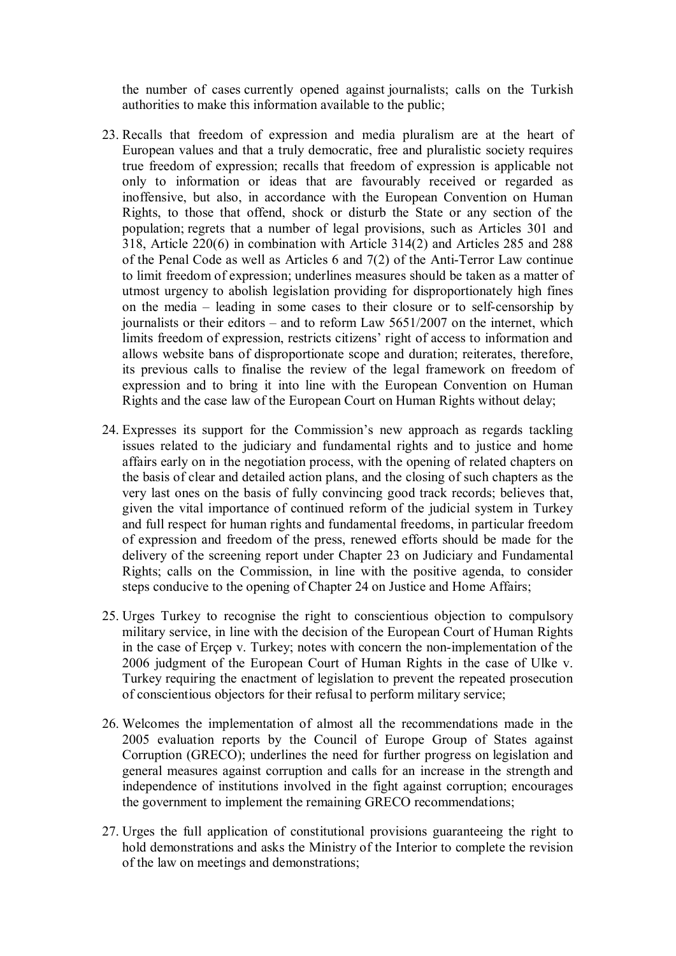the number of cases currently opened against journalists; calls on the Turkish authorities to make this information available to the public;

- 23. Recalls that freedom of expression and media pluralism are at the heart of European values and that a truly democratic, free and pluralistic society requires true freedom of expression; recalls that freedom of expression is applicable not only to information or ideas that are favourably received or regarded as inoffensive, but also, in accordance with the European Convention on Human Rights, to those that offend, shock or disturb the State or any section of the population; regrets that a number of legal provisions, such as Articles 301 and 318, Article 220(6) in combination with Article 314(2) and Articles 285 and 288 of the Penal Code as well as Articles 6 and 7(2) of the Anti-Terror Law continue to limit freedom of expression; underlines measures should be taken as a matter of utmost urgency to abolish legislation providing for disproportionately high fines on the media – leading in some cases to their closure or to self-censorship by journalists or their editors – and to reform Law 5651/2007 on the internet, which limits freedom of expression, restricts citizens' right of access to information and allows website bans of disproportionate scope and duration; reiterates, therefore, its previous calls to finalise the review of the legal framework on freedom of expression and to bring it into line with the European Convention on Human Rights and the case law of the European Court on Human Rights without delay;
- 24. Expresses its support for the Commission's new approach as regards tackling issues related to the judiciary and fundamental rights and to justice and home affairs early on in the negotiation process, with the opening of related chapters on the basis of clear and detailed action plans, and the closing of such chapters as the very last ones on the basis of fully convincing good track records; believes that, given the vital importance of continued reform of the judicial system in Turkey and full respect for human rights and fundamental freedoms, in particular freedom of expression and freedom of the press, renewed efforts should be made for the delivery of the screening report under Chapter 23 on Judiciary and Fundamental Rights; calls on the Commission, in line with the positive agenda, to consider steps conducive to the opening of Chapter 24 on Justice and Home Affairs;
- 25. Urges Turkey to recognise the right to conscientious objection to compulsory military service, in line with the decision of the European Court of Human Rights in the case of Erçep v. Turkey; notes with concern the non-implementation of the 2006 judgment of the European Court of Human Rights in the case of Ulke v. Turkey requiring the enactment of legislation to prevent the repeated prosecution of conscientious objectors for their refusal to perform military service;
- 26. Welcomes the implementation of almost all the recommendations made in the 2005 evaluation reports by the Council of Europe Group of States against Corruption (GRECO); underlines the need for further progress on legislation and general measures against corruption and calls for an increase in the strength and independence of institutions involved in the fight against corruption; encourages the government to implement the remaining GRECO recommendations;
- 27. Urges the full application of constitutional provisions guaranteeing the right to hold demonstrations and asks the Ministry of the Interior to complete the revision of the law on meetings and demonstrations;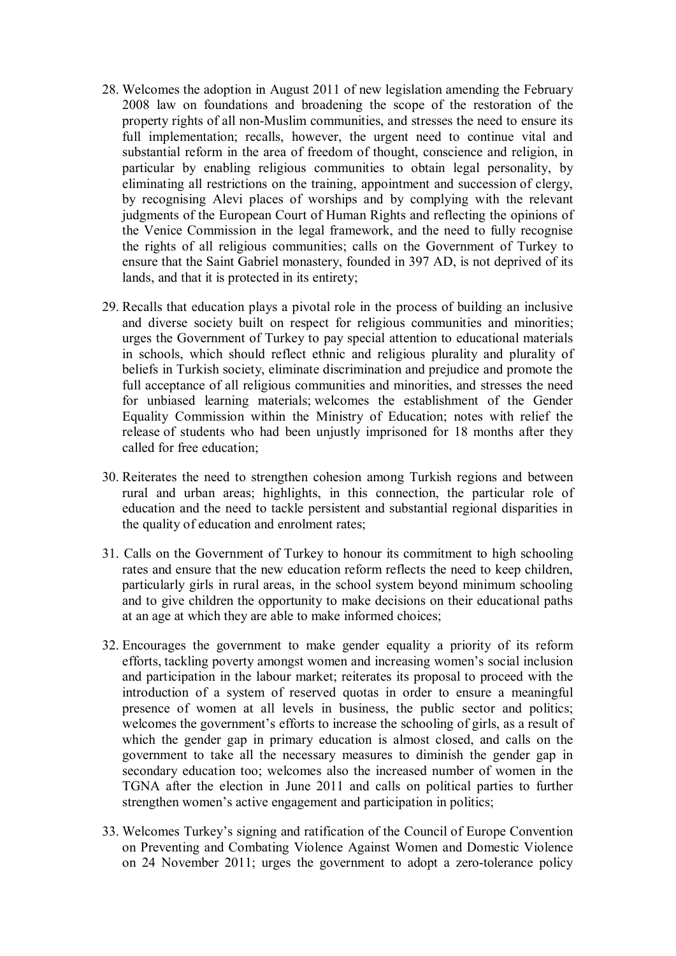- 28. Welcomes the adoption in August 2011 of new legislation amending the February 2008 law on foundations and broadening the scope of the restoration of the property rights of all non-Muslim communities, and stresses the need to ensure its full implementation; recalls, however, the urgent need to continue vital and substantial reform in the area of freedom of thought, conscience and religion, in particular by enabling religious communities to obtain legal personality, by eliminating all restrictions on the training, appointment and succession of clergy, by recognising Alevi places of worships and by complying with the relevant judgments of the European Court of Human Rights and reflecting the opinions of the Venice Commission in the legal framework, and the need to fully recognise the rights of all religious communities; calls on the Government of Turkey to ensure that the Saint Gabriel monastery, founded in 397 AD, is not deprived of its lands, and that it is protected in its entirety;
- 29. Recalls that education plays a pivotal role in the process of building an inclusive and diverse society built on respect for religious communities and minorities; urges the Government of Turkey to pay special attention to educational materials in schools, which should reflect ethnic and religious plurality and plurality of beliefs in Turkish society, eliminate discrimination and prejudice and promote the full acceptance of all religious communities and minorities, and stresses the need for unbiased learning materials; welcomes the establishment of the Gender Equality Commission within the Ministry of Education; notes with relief the release of students who had been unjustly imprisoned for 18 months after they called for free education;
- 30. Reiterates the need to strengthen cohesion among Turkish regions and between rural and urban areas; highlights, in this connection, the particular role of education and the need to tackle persistent and substantial regional disparities in the quality of education and enrolment rates;
- 31. Calls on the Government of Turkey to honour its commitment to high schooling rates and ensure that the new education reform reflects the need to keep children, particularly girls in rural areas, in the school system beyond minimum schooling and to give children the opportunity to make decisions on their educational paths at an age at which they are able to make informed choices;
- 32. Encourages the government to make gender equality a priority of its reform efforts, tackling poverty amongst women and increasing women's social inclusion and participation in the labour market; reiterates its proposal to proceed with the introduction of a system of reserved quotas in order to ensure a meaningful presence of women at all levels in business, the public sector and politics; welcomes the government's efforts to increase the schooling of girls, as a result of which the gender gap in primary education is almost closed, and calls on the government to take all the necessary measures to diminish the gender gap in secondary education too; welcomes also the increased number of women in the TGNA after the election in June 2011 and calls on political parties to further strengthen women's active engagement and participation in politics;
- 33. Welcomes Turkey's signing and ratification of the Council of Europe Convention on Preventing and Combating Violence Against Women and Domestic Violence on 24 November 2011; urges the government to adopt a zero-tolerance policy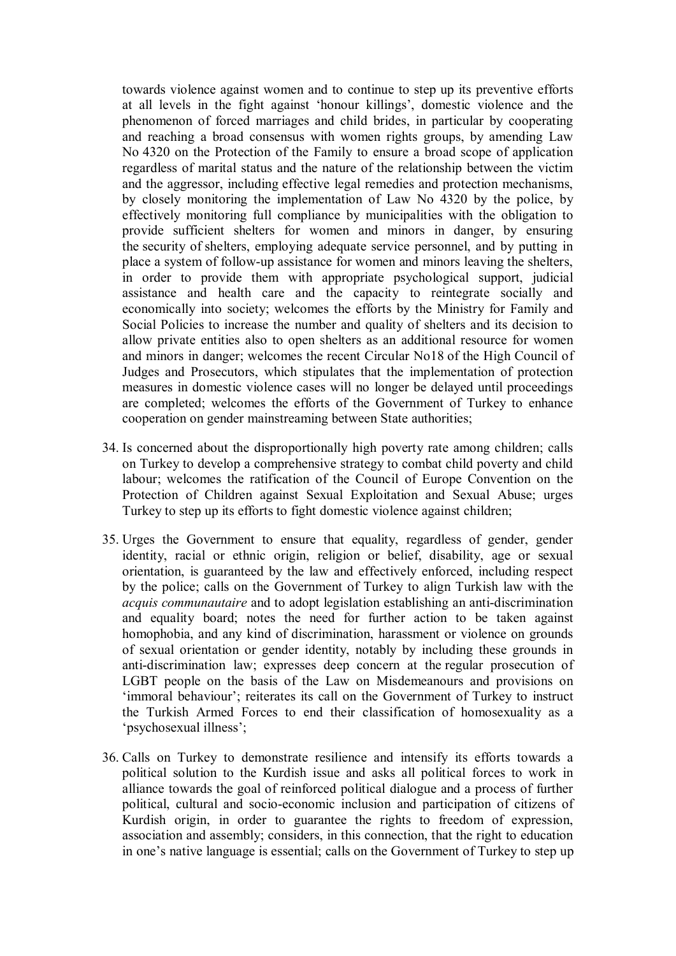towards violence against women and to continue to step up its preventive efforts at all levels in the fight against 'honour killings', domestic violence and the phenomenon of forced marriages and child brides, in particular by cooperating and reaching a broad consensus with women rights groups, by amending Law No 4320 on the Protection of the Family to ensure a broad scope of application regardless of marital status and the nature of the relationship between the victim and the aggressor, including effective legal remedies and protection mechanisms, by closely monitoring the implementation of Law No 4320 by the police, by effectively monitoring full compliance by municipalities with the obligation to provide sufficient shelters for women and minors in danger, by ensuring the security of shelters, employing adequate service personnel, and by putting in place a system of follow-up assistance for women and minors leaving the shelters, in order to provide them with appropriate psychological support, judicial assistance and health care and the capacity to reintegrate socially and economically into society; welcomes the efforts by the Ministry for Family and Social Policies to increase the number and quality of shelters and its decision to allow private entities also to open shelters as an additional resource for women and minors in danger; welcomes the recent Circular No18 of the High Council of Judges and Prosecutors, which stipulates that the implementation of protection measures in domestic violence cases will no longer be delayed until proceedings are completed; welcomes the efforts of the Government of Turkey to enhance cooperation on gender mainstreaming between State authorities;

- 34. Is concerned about the disproportionally high poverty rate among children; calls on Turkey to develop a comprehensive strategy to combat child poverty and child labour; welcomes the ratification of the Council of Europe Convention on the Protection of Children against Sexual Exploitation and Sexual Abuse; urges Turkey to step up its efforts to fight domestic violence against children;
- 35. Urges the Government to ensure that equality, regardless of gender, gender identity, racial or ethnic origin, religion or belief, disability, age or sexual orientation, is guaranteed by the law and effectively enforced, including respect by the police; calls on the Government of Turkey to align Turkish law with the *acquis communautaire* and to adopt legislation establishing an anti-discrimination and equality board; notes the need for further action to be taken against homophobia, and any kind of discrimination, harassment or violence on grounds of sexual orientation or gender identity, notably by including these grounds in anti-discrimination law; expresses deep concern at the regular prosecution of LGBT people on the basis of the Law on Misdemeanours and provisions on 'immoral behaviour'; reiterates its call on the Government of Turkey to instruct the Turkish Armed Forces to end their classification of homosexuality as a 'psychosexual illness';
- 36. Calls on Turkey to demonstrate resilience and intensify its efforts towards a political solution to the Kurdish issue and asks all political forces to work in alliance towards the goal of reinforced political dialogue and a process of further political, cultural and socio-economic inclusion and participation of citizens of Kurdish origin, in order to guarantee the rights to freedom of expression, association and assembly; considers, in this connection, that the right to education in one's native language is essential; calls on the Government of Turkey to step up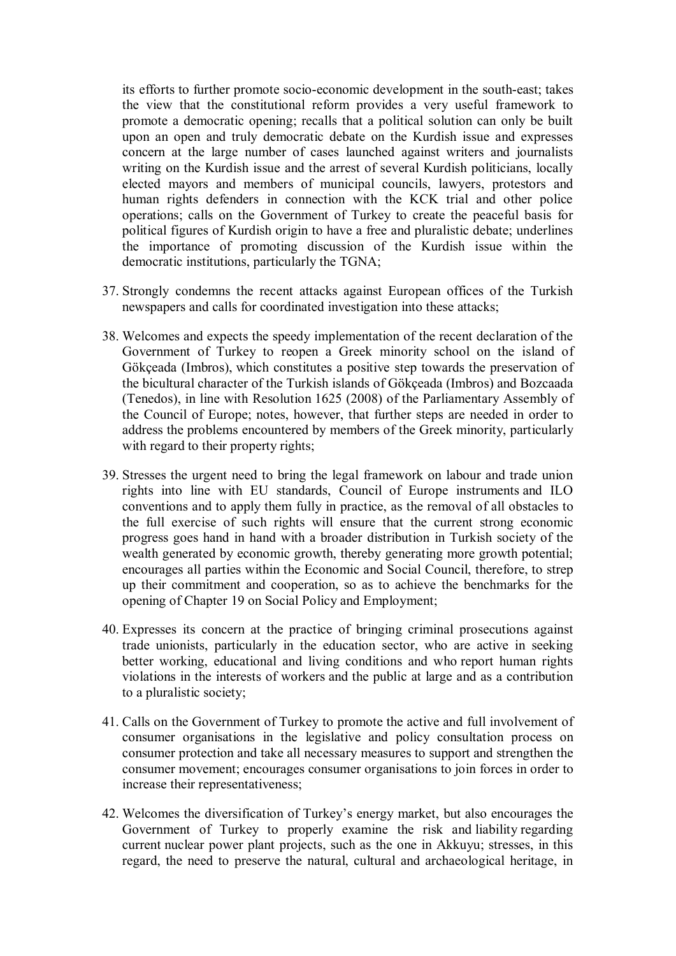its efforts to further promote socio-economic development in the south-east; takes the view that the constitutional reform provides a very useful framework to promote a democratic opening; recalls that a political solution can only be built upon an open and truly democratic debate on the Kurdish issue and expresses concern at the large number of cases launched against writers and journalists writing on the Kurdish issue and the arrest of several Kurdish politicians, locally elected mayors and members of municipal councils, lawyers, protestors and human rights defenders in connection with the KCK trial and other police operations; calls on the Government of Turkey to create the peaceful basis for political figures of Kurdish origin to have a free and pluralistic debate; underlines the importance of promoting discussion of the Kurdish issue within the democratic institutions, particularly the TGNA;

- 37. Strongly condemns the recent attacks against European offices of the Turkish newspapers and calls for coordinated investigation into these attacks;
- 38. Welcomes and expects the speedy implementation of the recent declaration of the Government of Turkey to reopen a Greek minority school on the island of Gökçeada (Imbros), which constitutes a positive step towards the preservation of the bicultural character of the Turkish islands of Gökçeada (Imbros) and Bozcaada (Tenedos), in line with Resolution 1625 (2008) of the Parliamentary Assembly of the Council of Europe; notes, however, that further steps are needed in order to address the problems encountered by members of the Greek minority, particularly with regard to their property rights;
- 39. Stresses the urgent need to bring the legal framework on labour and trade union rights into line with EU standards, Council of Europe instruments and ILO conventions and to apply them fully in practice, as the removal of all obstacles to the full exercise of such rights will ensure that the current strong economic progress goes hand in hand with a broader distribution in Turkish society of the wealth generated by economic growth, thereby generating more growth potential; encourages all parties within the Economic and Social Council, therefore, to strep up their commitment and cooperation, so as to achieve the benchmarks for the opening of Chapter 19 on Social Policy and Employment;
- 40. Expresses its concern at the practice of bringing criminal prosecutions against trade unionists, particularly in the education sector, who are active in seeking better working, educational and living conditions and who report human rights violations in the interests of workers and the public at large and as a contribution to a pluralistic society;
- 41. Calls on the Government of Turkey to promote the active and full involvement of consumer organisations in the legislative and policy consultation process on consumer protection and take all necessary measures to support and strengthen the consumer movement; encourages consumer organisations to join forces in order to increase their representativeness;
- 42. Welcomes the diversification of Turkey's energy market, but also encourages the Government of Turkey to properly examine the risk and liability regarding current nuclear power plant projects, such as the one in Akkuyu; stresses, in this regard, the need to preserve the natural, cultural and archaeological heritage, in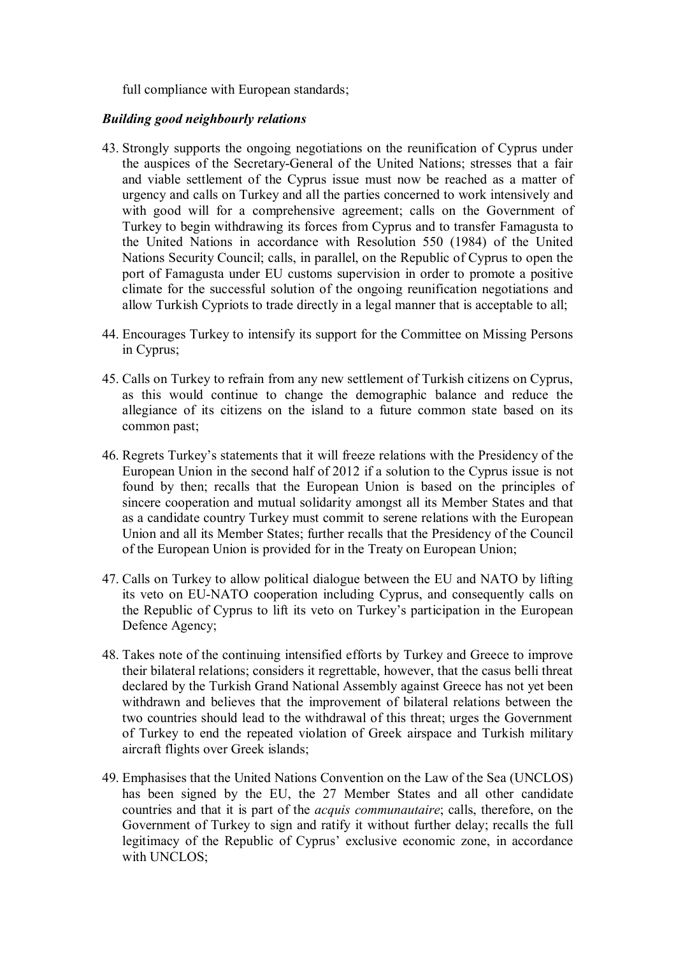full compliance with European standards;

#### *Building good neighbourly relations*

- 43. Strongly supports the ongoing negotiations on the reunification of Cyprus under the auspices of the Secretary-General of the United Nations; stresses that a fair and viable settlement of the Cyprus issue must now be reached as a matter of urgency and calls on Turkey and all the parties concerned to work intensively and with good will for a comprehensive agreement; calls on the Government of Turkey to begin withdrawing its forces from Cyprus and to transfer Famagusta to the United Nations in accordance with Resolution 550 (1984) of the United Nations Security Council; calls, in parallel, on the Republic of Cyprus to open the port of Famagusta under EU customs supervision in order to promote a positive climate for the successful solution of the ongoing reunification negotiations and allow Turkish Cypriots to trade directly in a legal manner that is acceptable to all;
- 44. Encourages Turkey to intensify its support for the Committee on Missing Persons in Cyprus;
- 45. Calls on Turkey to refrain from any new settlement of Turkish citizens on Cyprus, as this would continue to change the demographic balance and reduce the allegiance of its citizens on the island to a future common state based on its common past;
- 46. Regrets Turkey's statements that it will freeze relations with the Presidency of the European Union in the second half of 2012 if a solution to the Cyprus issue is not found by then; recalls that the European Union is based on the principles of sincere cooperation and mutual solidarity amongst all its Member States and that as a candidate country Turkey must commit to serene relations with the European Union and all its Member States; further recalls that the Presidency of the Council of the European Union is provided for in the Treaty on European Union;
- 47. Calls on Turkey to allow political dialogue between the EU and NATO by lifting its veto on EU-NATO cooperation including Cyprus, and consequently calls on the Republic of Cyprus to lift its veto on Turkey's participation in the European Defence Agency;
- 48. Takes note of the continuing intensified efforts by Turkey and Greece to improve their bilateral relations; considers it regrettable, however, that the casus belli threat declared by the Turkish Grand National Assembly against Greece has not yet been withdrawn and believes that the improvement of bilateral relations between the two countries should lead to the withdrawal of this threat; urges the Government of Turkey to end the repeated violation of Greek airspace and Turkish military aircraft flights over Greek islands;
- 49. Emphasises that the United Nations Convention on the Law of the Sea (UNCLOS) has been signed by the EU, the 27 Member States and all other candidate countries and that it is part of the *acquis communautaire*; calls, therefore, on the Government of Turkey to sign and ratify it without further delay; recalls the full legitimacy of the Republic of Cyprus' exclusive economic zone, in accordance with UNCLOS;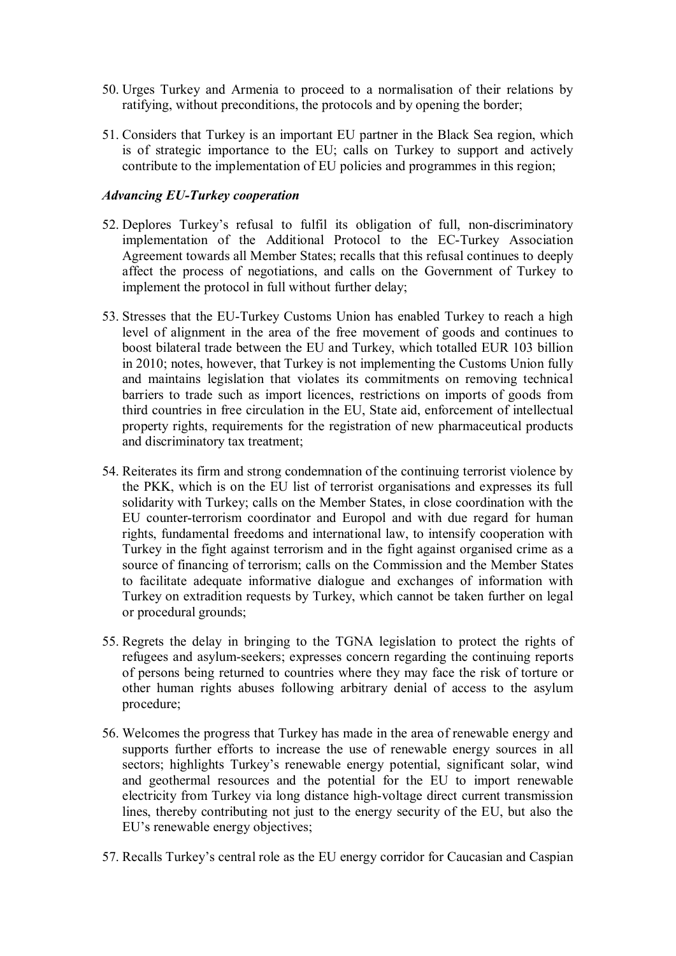- 50. Urges Turkey and Armenia to proceed to a normalisation of their relations by ratifying, without preconditions, the protocols and by opening the border;
- 51. Considers that Turkey is an important EU partner in the Black Sea region, which is of strategic importance to the EU; calls on Turkey to support and actively contribute to the implementation of EU policies and programmes in this region;

### *Advancing EU-Turkey cooperation*

- 52. Deplores Turkey's refusal to fulfil its obligation of full, non-discriminatory implementation of the Additional Protocol to the EC-Turkey Association Agreement towards all Member States; recalls that this refusal continues to deeply affect the process of negotiations, and calls on the Government of Turkey to implement the protocol in full without further delay;
- 53. Stresses that the EU-Turkey Customs Union has enabled Turkey to reach a high level of alignment in the area of the free movement of goods and continues to boost bilateral trade between the EU and Turkey, which totalled EUR 103 billion in 2010; notes, however, that Turkey is not implementing the Customs Union fully and maintains legislation that violates its commitments on removing technical barriers to trade such as import licences, restrictions on imports of goods from third countries in free circulation in the EU, State aid, enforcement of intellectual property rights, requirements for the registration of new pharmaceutical products and discriminatory tax treatment;
- 54. Reiterates its firm and strong condemnation of the continuing terrorist violence by the PKK, which is on the EU list of terrorist organisations and expresses its full solidarity with Turkey; calls on the Member States, in close coordination with the EU counter-terrorism coordinator and Europol and with due regard for human rights, fundamental freedoms and international law, to intensify cooperation with Turkey in the fight against terrorism and in the fight against organised crime as a source of financing of terrorism; calls on the Commission and the Member States to facilitate adequate informative dialogue and exchanges of information with Turkey on extradition requests by Turkey, which cannot be taken further on legal or procedural grounds;
- 55. Regrets the delay in bringing to the TGNA legislation to protect the rights of refugees and asylum-seekers; expresses concern regarding the continuing reports of persons being returned to countries where they may face the risk of torture or other human rights abuses following arbitrary denial of access to the asylum procedure;
- 56. Welcomes the progress that Turkey has made in the area of renewable energy and supports further efforts to increase the use of renewable energy sources in all sectors; highlights Turkey's renewable energy potential, significant solar, wind and geothermal resources and the potential for the EU to import renewable electricity from Turkey via long distance high-voltage direct current transmission lines, thereby contributing not just to the energy security of the EU, but also the EU's renewable energy objectives;
- 57. Recalls Turkey's central role as the EU energy corridor for Caucasian and Caspian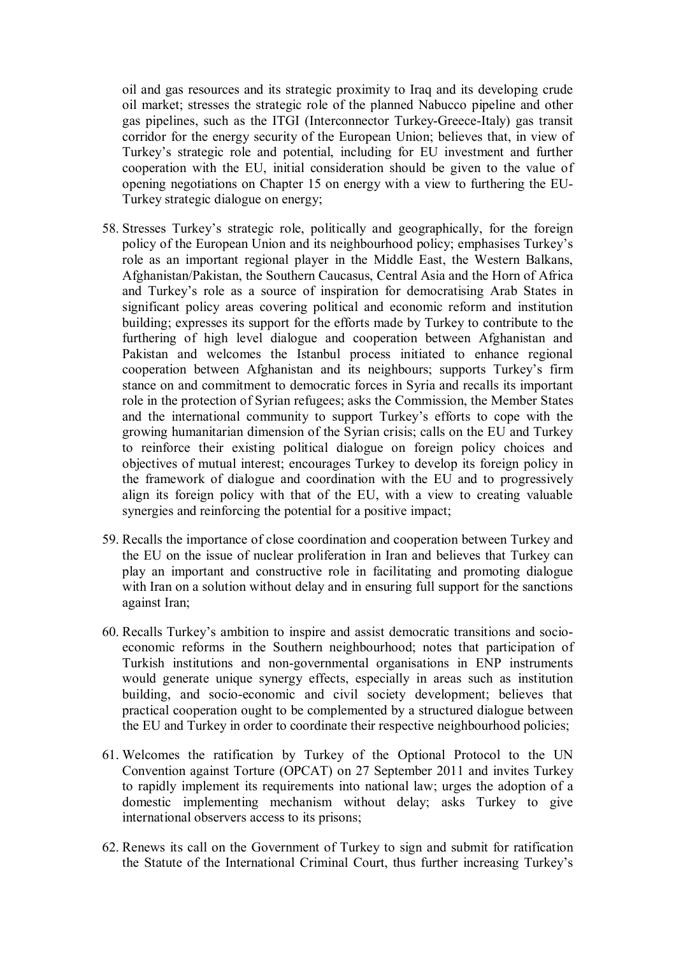oil and gas resources and its strategic proximity to Iraq and its developing crude oil market; stresses the strategic role of the planned Nabucco pipeline and other gas pipelines, such as the ITGI (Interconnector Turkey-Greece-Italy) gas transit corridor for the energy security of the European Union; believes that, in view of Turkey's strategic role and potential, including for EU investment and further cooperation with the EU, initial consideration should be given to the value of opening negotiations on Chapter 15 on energy with a view to furthering the EU-Turkey strategic dialogue on energy;

- 58. Stresses Turkey's strategic role, politically and geographically, for the foreign policy of the European Union and its neighbourhood policy; emphasises Turkey's role as an important regional player in the Middle East, the Western Balkans, Afghanistan/Pakistan, the Southern Caucasus, Central Asia and the Horn of Africa and Turkey's role as a source of inspiration for democratising Arab States in significant policy areas covering political and economic reform and institution building; expresses its support for the efforts made by Turkey to contribute to the furthering of high level dialogue and cooperation between Afghanistan and Pakistan and welcomes the Istanbul process initiated to enhance regional cooperation between Afghanistan and its neighbours; supports Turkey's firm stance on and commitment to democratic forces in Syria and recalls its important role in the protection of Syrian refugees; asks the Commission, the Member States and the international community to support Turkey's efforts to cope with the growing humanitarian dimension of the Syrian crisis; calls on the EU and Turkey to reinforce their existing political dialogue on foreign policy choices and objectives of mutual interest; encourages Turkey to develop its foreign policy in the framework of dialogue and coordination with the EU and to progressively align its foreign policy with that of the EU, with a view to creating valuable synergies and reinforcing the potential for a positive impact;
- 59. Recalls the importance of close coordination and cooperation between Turkey and the EU on the issue of nuclear proliferation in Iran and believes that Turkey can play an important and constructive role in facilitating and promoting dialogue with Iran on a solution without delay and in ensuring full support for the sanctions against Iran;
- 60. Recalls Turkey's ambition to inspire and assist democratic transitions and socioeconomic reforms in the Southern neighbourhood; notes that participation of Turkish institutions and non-governmental organisations in ENP instruments would generate unique synergy effects, especially in areas such as institution building, and socio-economic and civil society development; believes that practical cooperation ought to be complemented by a structured dialogue between the EU and Turkey in order to coordinate their respective neighbourhood policies;
- 61. Welcomes the ratification by Turkey of the Optional Protocol to the UN Convention against Torture (OPCAT) on 27 September 2011 and invites Turkey to rapidly implement its requirements into national law; urges the adoption of a domestic implementing mechanism without delay; asks Turkey to give international observers access to its prisons;
- 62. Renews its call on the Government of Turkey to sign and submit for ratification the Statute of the International Criminal Court, thus further increasing Turkey's